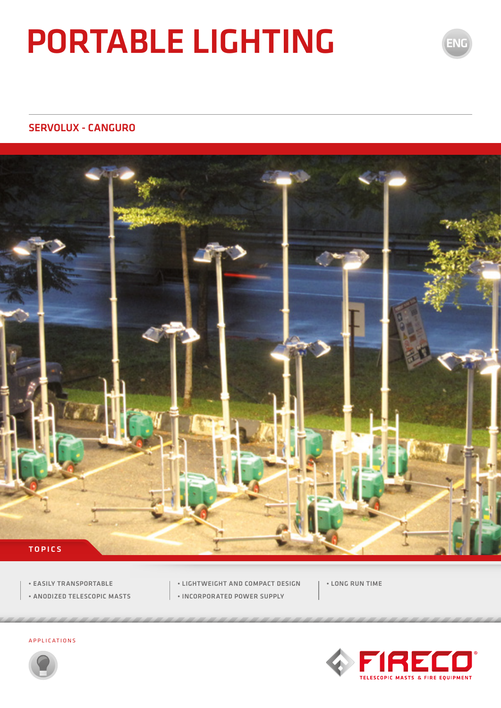# PORTABLE LIGHTING

#### SERVOLUX - CANGURO



- EASILY TRANSPORTABLE
- ANODIZED TELESCOPIC MASTS
- LIGHTWEIGHT AND COMPACT DESIGN
- INCORPORATED POWER SUPPLY
- LONG RUN TIME



ENG

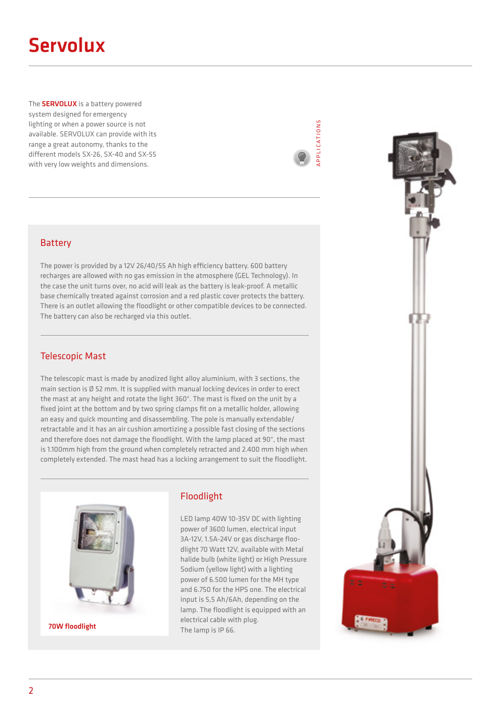# Servolux

The **SERVOLUX** is a battery powered system designed for emergency lighting or when a power source is not available. SERVOLUX can provide with its range a great autonomy, thanks to the different models SX-26, SX-40 and SX-55 with very low weights and dimensions.



#### Battery

The power is provided by a 12V 26/40/55 Ah high efficiency battery. 600 battery recharges are allowed with no gas emission in the atmosphere (GEL Technology). In the case the unit turns over, no acid will leak as the battery is leak-proof. A metallic base chemically treated against corrosion and a red plastic cover protects the battery. There is an outlet allowing the floodlight or other compatible devices to be connected. The battery can also be recharged via this outlet.

#### Telescopic Mast

The telescopic mast is made by anodized light alloy aluminium, with 3 sections, the main section is Ø 52 mm. It is supplied with manual locking devices in order to erect the mast at any height and rotate the light 360°. The mast is fixed on the unit by a fixed joint at the bottom and by two spring clamps fit on a metallic holder, allowing an easy and quick mounting and disassembling. The pole is manually extendable/ retractable and it has an air cushion amortizing a possible fast closing of the sections and therefore does not damage the floodlight. With the lamp placed at 90°, the mast is 1.100mm high from the ground when completely retracted and 2.400 mm high when completely extended. The mast head has a locking arrangement to suit the floodlight.



#### Floodlight

LED lamp 40W 10-35V DC with lighting power of 3600 lumen, electrical input 3A-12V, 1.5A-24V or gas discharge floodlight 70 Watt 12V, available with Metal halide bulb (white light) or High Pressure Sodium (yellow light) with a lighting power of 6.500 lumen for the MH type and 6.750 for the HPS one. The electrical input is 5,5 Ah/6Ah, depending on the lamp. The floodlight is equipped with an electrical cable with plug. **The lamp is IP 66.** The lamp is IP 66.

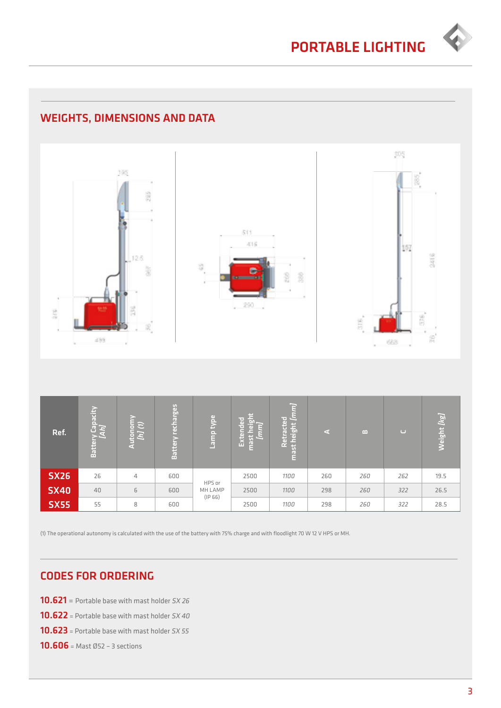

### WEIGHTS, DIMENSIONS AND DATA



| Ref.        | Battery Capacity<br><i>[Ah]</i> | з              | <b>Battery recharges</b> | Lamp type                    | Ħ<br>lэ<br>≂<br>$\overline{a}$<br>G<br>lπ<br>$\overline{5}$<br>Ext<br>E | 묘<br>letracte<br>height<br>œ.<br>$\overline{5}$<br>$\mathbb{R}^n$<br>Ē | G.  | B   | $\cup$ | $\overline{kg}$<br>Weight |
|-------------|---------------------------------|----------------|--------------------------|------------------------------|-------------------------------------------------------------------------|------------------------------------------------------------------------|-----|-----|--------|---------------------------|
| <b>SX26</b> | 26                              | $\overline{4}$ | 600                      | HPS or<br>MH LAMP<br>(IP 66) | 2500                                                                    | 1100                                                                   | 260 | 260 | 262    | 19.5                      |
| <b>SX40</b> | 40                              | 6              | 600                      |                              | 2500                                                                    | 1100                                                                   | 298 | 260 | 322    | 26.5                      |
| <b>SX55</b> | 55                              | 8              | 600                      |                              | 2500                                                                    | 1100                                                                   | 298 | 260 | 322    | 28.5                      |

(1) The operational autonomy is calculated with the use of the battery with 75% charge and with floodlight 70 W 12 V HPS or MH.

#### CODES FOR ORDERING

- **10.621** = Portable base with mast holder  $5X26$
- **10.622** = Portable base with mast holder  $5X$  40
- **10.623** = Portable base with mast holder  $5X 55$
- 10.606 = Mast Ø52 3 sections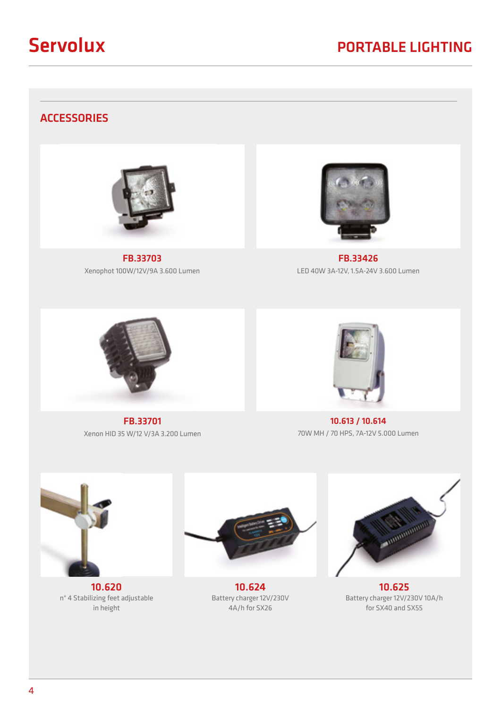

#### **ACCESSORIES**



FB.33703 Xenophot 100W/12V/9A 3.600 Lumen



FB.33426 LED 40W 3A-12V, 1.5A-24V 3.600 Lumen



FB.33701 Xenon HID 35 W/12 V/3A 3.200 Lumen



10.613 / 10.614 70W MH / 70 HPS, 7A-12V 5.000 Lumen



10.620 n° 4 Stabilizing feet adjustable in height



10.624 Battery charger 12V/230V 4A/h for SX26



10.625 Battery charger 12V/230V 10A/h for SX40 and SX55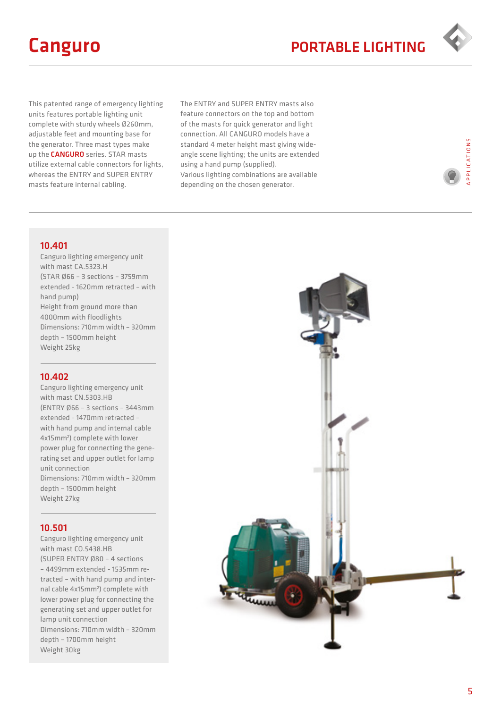

This patented range of emergency lighting units features portable lighting unit complete with sturdy wheels Ø260mm, adjustable feet and mounting base for the generator. Three mast types make up the **CANGURO** series. STAR masts utilize external cable connectors for lights, whereas the ENTRY and SUPER ENTRY masts feature internal cabling.

The ENTRY and SUPER ENTRY masts also feature connectors on the top and bottom of the masts for quick generator and light connection. All CANGURO models have a standard 4 meter height mast giving wideangle scene lighting; the units are extended using a hand pump (supplied). Various lighting combinations are available depending on the chosen generator.

PPLICATIONS APPLICATIONS

#### 10.401

Canguro lighting emergency unit with mast CA.5323.H (STAR Ø66 – 3 sections – 3759mm extended - 1620mm retracted – with hand pump) Height from ground more than 4000mm with floodlights Dimensions: 710mm width – 320mm depth – 1500mm height Weight 25kg

#### 10.402

Canguro lighting emergency unit with mast CN.5303.HB (ENTRY Ø66 – 3 sections – 3443mm extended - 1470mm retracted – with hand pump and internal cable 4x15mm2 ) complete with lower power plug for connecting the generating set and upper outlet for lamp unit connection Dimensions: 710mm width – 320mm depth – 1500mm height Weight 27kg

#### 10.501

Canguro lighting emergency unit with mast CO.5438.HB (SUPER ENTRY Ø80 – 4 sections – 4499mm extended - 1535mm retracted – with hand pump and internal cable 4x15mm<sup>2</sup>) complete with lower power plug for connecting the generating set and upper outlet for lamp unit connection Dimensions: 710mm width – 320mm depth – 1700mm height Weight 30kg

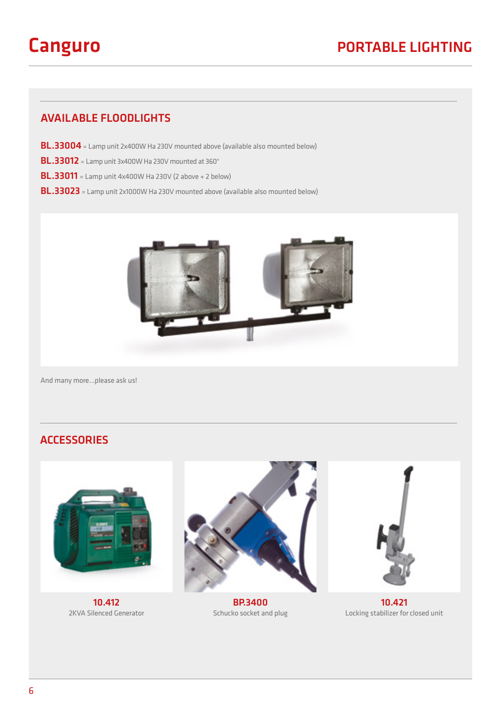#### AVAILABLE FLOODLIGHTS

- BL.33004 = Lamp unit 2x400W Ha 230V mounted above (available also mounted below)
- BL.33012 = Lamp unit 3x400W Ha 230V mounted at 360°
- BL.33011 = Lamp unit 4x400W Ha 230V (2 above + 2 below)
- BL.33023 = Lamp unit 2x1000W Ha 230V mounted above (available also mounted below)



And many more…please ask us!

#### **ACCESSORIES**



10.412 2KVA Silenced Generator



BP.3400 Schucko socket and plug



10.421 Locking stabilizer for closed unit